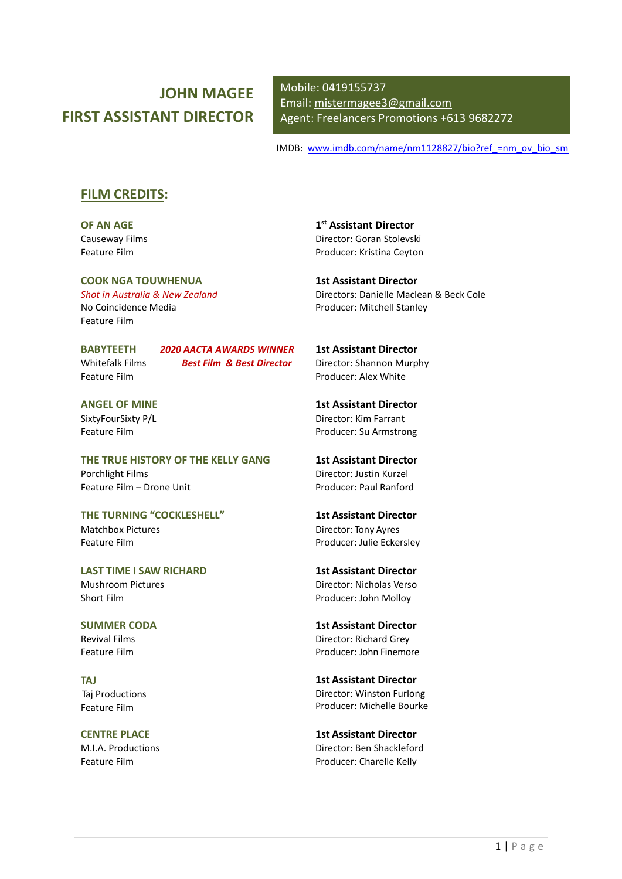# JOHN MAGEE FIRST ASSISTANT DIRECTOR

Mobile: 0419155737 Email: mistermagee3@gmail.com Agent: Freelancers Promotions +613 9682272

IMDB: www.imdb.com/name/nm1128827/bio?ref =nm\_ov\_bio\_sm

### FILM CREDITS:

OF AN AGE Causeway Films Feature Film

COOK NGA TOUWHENUA Shot in Australia & New Zealand No Coincidence Media Feature Film

Feature Film

BABYTEETH 2020 AACTA AWARDS WINNER Whitefalk Films **Best Film & Best Director** 

ANGEL OF MINE SixtyFourSixty P/L Feature Film

THE TRUE HISTORY OF THE KELLY GANG Porchlight Films Feature Film – Drone Unit

THE TURNING "COCKLESHELL" Matchbox Pictures Feature Film

LAST TIME I SAW RICHARD Mushroom Pictures Short Film

SUMMER CODA Revival Films Feature Film

TAJ Taj Productions Feature Film

CENTRE PLACE M.I.A. Productions Feature Film

1 st Assistant Director Director: Goran Stolevski Producer: Kristina Ceyton

1st Assistant Director Directors: Danielle Maclean & Beck Cole Producer: Mitchell Stanley

1st Assistant Director Director: Shannon Murphy Producer: Alex White

1st Assistant Director Director: Kim Farrant Producer: Su Armstrong

1st Assistant Director Director: Justin Kurzel Producer: Paul Ranford

1st Assistant Director Director: Tony Ayres Producer: Julie Eckersley

1st Assistant Director Director: Nicholas Verso Producer: John Molloy

1st Assistant Director Director: Richard Grey Producer: John Finemore

1st Assistant Director Director: Winston Furlong Producer: Michelle Bourke

1st Assistant Director Director: Ben Shackleford Producer: Charelle Kelly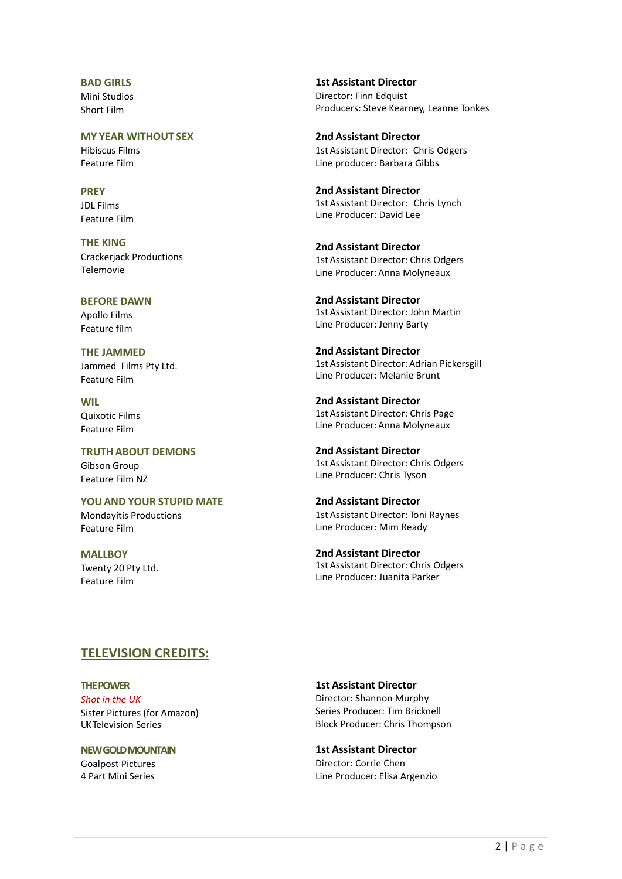BAD GIRLS Mini Studios Short Film

MY YEAR WITHOUT SEX Hibiscus Films Feature Film

**PRFY** JDL Films Feature Film

THE KING Crackerjack Productions Telemovie

BEFORE DAWN Apollo Films Feature film

THE JAMMED Jammed Films Pty Ltd. Feature Film

WIL Quixotic Films Feature Film

TRUTH ABOUT DEMONS Gibson Group Feature Film NZ

YOU AND YOUR STUPID MATE Mondayitis Productions Feature Film

**MALLBOY** Twenty 20 Pty Ltd. Feature Film

1st Assistant Director Director: Finn Edquist Producers: Steve Kearney, Leanne Tonkes

2nd Assistant Director 1st Assistant Director: Chris Odgers Line producer: Barbara Gibbs

2nd Assistant Director 1st Assistant Director: Chris Lynch Line Producer: David Lee

2nd Assistant Director 1st Assistant Director: Chris Odgers Line Producer: Anna Molyneaux

2nd Assistant Director 1st Assistant Director: John Martin Line Producer: Jenny Barty

2nd Assistant Director 1st Assistant Director: Adrian Pickersgill Line Producer: Melanie Brunt

2nd Assistant Director 1st Assistant Director: Chris Page Line Producer: Anna Molyneaux

2nd Assistant Director 1st Assistant Director: Chris Odgers Line Producer: Chris Tyson

2nd Assistant Director 1st Assistant Director: Toni Raynes Line Producer: Mim Ready

2nd Assistant Director 1st Assistant Director: Chris Odgers Line Producer: Juanita Parker

## TELEVISION CREDITS:

THE POWER Shot in the UK Sister Pictures (for Amazon) UK Television Series

NEW GOLD MOUNTAIN Goalpost Pictures 4 Part Mini Series

1st Assistant Director

Director: Shannon Murphy Series Producer: Tim Bricknell Block Producer: Chris Thompson

1st Assistant Director Director: Corrie Chen Line Producer: Elisa Argenzio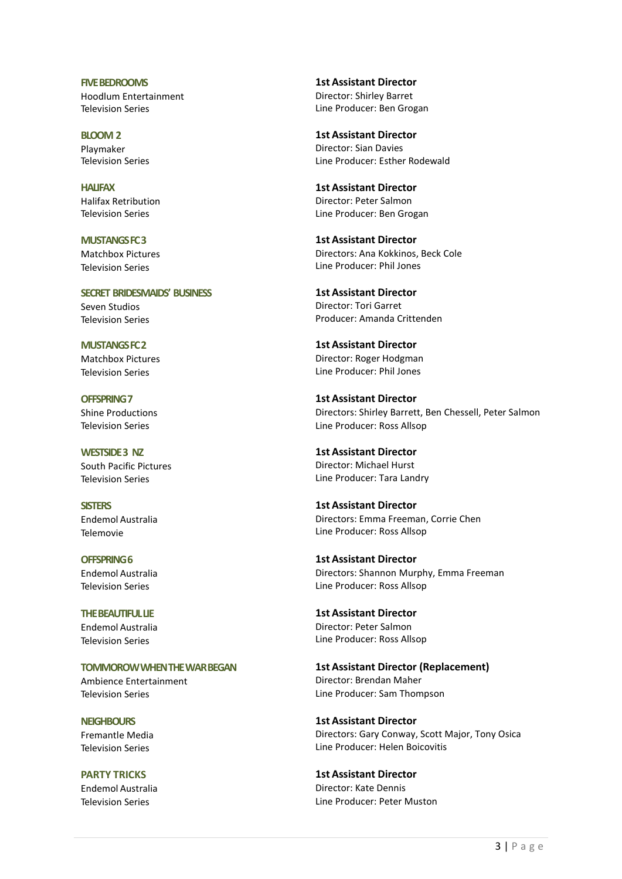FIVE BEDROOMS Hoodlum Entertainment Television Series

BLOOM 2 Playmaker Television Series

**HALIFAX** Halifax Retribution Television Series

MUSTANGS FC 3 Matchbox Pictures Television Series

SECRET BRIDESMAIDS' BUSINESS Seven Studios Television Series

MUSTANGS FC 2 Matchbox Pictures Television Series

OFFSPRING 7 Shine Productions Television Series

WESTSIDE 3 NZ South Pacific Pictures Television Series

**SISTERS** Endemol Australia Telemovie

OFFSPRING 6 Endemol Australia Television Series

THE BEAUTIFUL LIE Endemol Australia Television Series

TOMMOROW WHEN THE WAR BEGAN Ambience Entertainment

**NEIGHBOURS** Fremantle Media

Television Series

Television Series

PARTY TRICKS Endemol Australia Television Series

1st Assistant Director Director: Shirley Barret Line Producer: Ben Grogan

1st Assistant Director Director: Sian Davies Line Producer: Esther Rodewald

1st Assistant Director Director: Peter Salmon Line Producer: Ben Grogan

1st Assistant Director Directors: Ana Kokkinos, Beck Cole Line Producer: Phil Jones

1st Assistant Director Director: Tori Garret Producer: Amanda Crittenden

1st Assistant Director Director: Roger Hodgman Line Producer: Phil Jones

1st Assistant Director Directors: Shirley Barrett, Ben Chessell, Peter Salmon Line Producer: Ross Allsop

1st Assistant Director Director: Michael Hurst Line Producer: Tara Landry

1st Assistant Director Directors: Emma Freeman, Corrie Chen Line Producer: Ross Allsop

1st Assistant Director Directors: Shannon Murphy, Emma Freeman Line Producer: Ross Allsop

1st Assistant Director Director: Peter Salmon Line Producer: Ross Allsop

1st Assistant Director (Replacement) Director: Brendan Maher Line Producer: Sam Thompson

1st Assistant Director Directors: Gary Conway, Scott Major, Tony Osica Line Producer: Helen Boicovitis

1st Assistant Director Director: Kate Dennis Line Producer: Peter Muston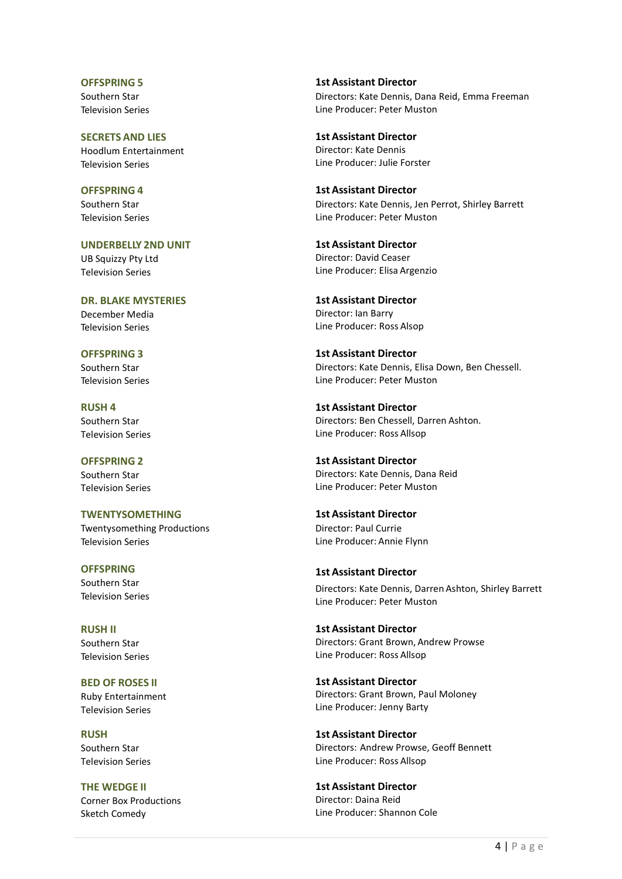OFFSPRING 5 Southern Star Television Series

SECRETS AND LIES Hoodlum Entertainment Television Series

OFFSPRING 4 Southern Star Television Series

UNDERBELLY 2ND UNIT UB Squizzy Pty Ltd Television Series

DR. BLAKE MYSTERIES December Media Television Series

OFFSPRING 3 Southern Star Television Series

RUSH 4 Southern Star Television Series

OFFSPRING 2 Southern Star Television Series

TWENTYSOMETHING Twentysomething Productions Television Series

**OFFSPRING** Southern Star Television Series

RUSH II Southern Star Television Series

BED OF ROSES II Ruby Entertainment Television Series

RUSH Southern Star Television Series

THE WEDGE II Corner Box Productions Sketch Comedy

1st Assistant Director Directors: Kate Dennis, Dana Reid, Emma Freeman Line Producer: Peter Muston

1st Assistant Director Director: Kate Dennis Line Producer: Julie Forster

1st Assistant Director Directors: Kate Dennis, Jen Perrot, Shirley Barrett Line Producer: Peter Muston

1st Assistant Director Director: David Ceaser Line Producer: Elisa Argenzio

1st Assistant Director Director: Ian Barry Line Producer: Ross Alsop

1st Assistant Director Directors: Kate Dennis, Elisa Down, Ben Chessell. Line Producer: Peter Muston

1st Assistant Director Directors: Ben Chessell, Darren Ashton. Line Producer: Ross Allsop

1st Assistant Director Directors: Kate Dennis, Dana Reid Line Producer: Peter Muston

1st Assistant Director Director: Paul Currie Line Producer: Annie Flynn

#### 1st Assistant Director

Directors: Kate Dennis, Darren Ashton, Shirley Barrett Line Producer: Peter Muston

1st Assistant Director Directors: Grant Brown, Andrew Prowse Line Producer: Ross Allsop

1st Assistant Director Directors: Grant Brown, Paul Moloney Line Producer: Jenny Barty

1st Assistant Director Directors: Andrew Prowse, Geoff Bennett Line Producer: Ross Allsop

1st Assistant Director Director: Daina Reid Line Producer: Shannon Cole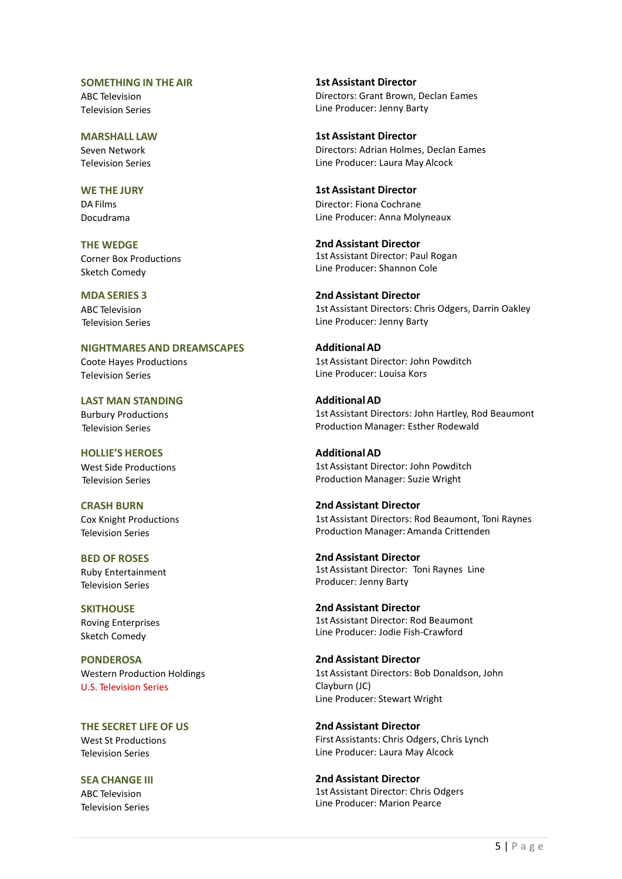#### SOMETHING IN THE AIR

ABC Television Television Series

MARSHALL LAW Seven Network Television Series

WE THE JURY DA Films Docudrama

THE WEDGE Corner Box Productions Sketch Comedy

MDA SERIES 3 ABC Television Television Series

NIGHTMARES AND DREAMSCAPES Coote Hayes Productions Television Series

LAST MAN STANDING Burbury Productions Television Series

HOLLIE'S HEROES West Side Productions Television Series

CRASH BURN Cox Knight Productions Television Series

BED OF ROSES Ruby Entertainment Television Series

**SKITHOUSE** Roving Enterprises Sketch Comedy

**PONDEROSA** Western Production Holdings U.S. Television Series

THE SECRET LIFE OF US West St Productions Television Series

SEA CHANGE III ABC Television Television Series

1stAssistant Director Directors: Grant Brown, Declan Eames Line Producer: Jenny Barty

1st Assistant Director Directors: Adrian Holmes, Declan Eames Line Producer: Laura May Alcock

1st Assistant Director Director: Fiona Cochrane Line Producer: Anna Molyneaux

2nd Assistant Director 1st Assistant Director: Paul Rogan Line Producer: Shannon Cole

2nd Assistant Director 1st Assistant Directors: Chris Odgers, Darrin Oakley Line Producer: Jenny Barty

AdditionalAD 1st Assistant Director: John Powditch Line Producer: Louisa Kors

AdditionalAD 1st Assistant Directors: John Hartley, Rod Beaumont Production Manager: Esther Rodewald

AdditionalAD 1st Assistant Director: John Powditch Production Manager: Suzie Wright

2nd Assistant Director 1st Assistant Directors: Rod Beaumont, Toni Raynes Production Manager: Amanda Crittenden

2nd Assistant Director 1st Assistant Director: Toni Raynes Line Producer: Jenny Barty

2nd Assistant Director 1st Assistant Director: Rod Beaumont Line Producer: Jodie Fish-Crawford

2nd Assistant Director 1st Assistant Directors: Bob Donaldson, John Clayburn (JC) Line Producer: Stewart Wright

2nd Assistant Director First Assistants: Chris Odgers, Chris Lynch Line Producer: Laura May Alcock

2nd Assistant Director 1st Assistant Director: Chris Odgers Line Producer: Marion Pearce